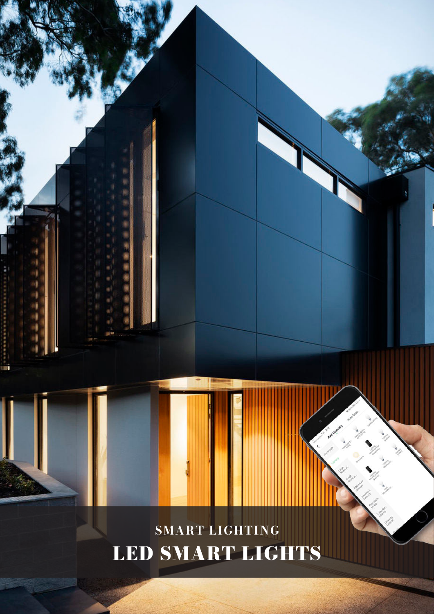

LED SMART LIGHTS

14GENERAL LIGHTING / DOWNLIGHTS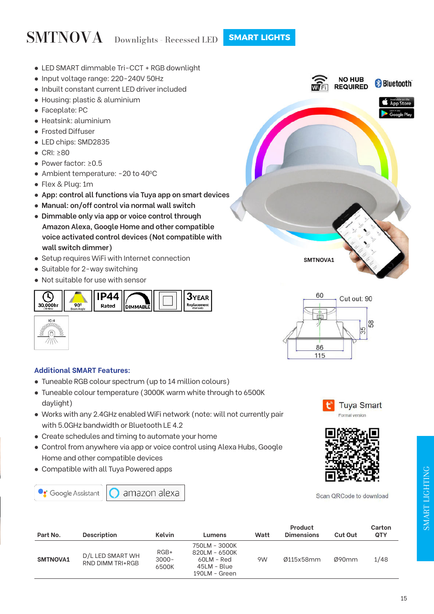## SMTNOVA Downlights - Recessed LED **SMART LIGHTS**

- LED SMART dimmable Tri-CCT + RGB downlight
- Input voltage range: 220-240V 50Hz
- Inbuilt constant current LED driver included
- Housing: plastic & aluminium
- Faceplate: PC
- Heatsink: aluminium
- Frosted Diffuser
- LED chips: SMD2835
- CRI: ≥80
- Power factor: ≥0.5
- Ambient temperature: -20 to 40°C
- Flex & Plug: 1m
- **App: control all functions via Tuya app on smart devices**
- **Manual: on/off control via normal wall switch**
- **Dimmable only via app or voice control through Amazon Alexa, Google Home and other compatible voice activated control devices (Not compatible with wall switch dimmer)**
- Setup requires WiFi with Internet connection
- Suitable for 2-way switching
- Not suitable for use with sensor





### **Additional SMART Features:**

- Tuneable RGB colour spectrum (up to 14 million colours)
- Tuneable colour temperature (3000K warm white through to 6500K daylight)
- Works with any 2.4GHz enabled WiFi network (note: will not currently pair with 5.0GHz bandwidth or Bluetooth LE 4.2
- Create schedules and timing to automate your home
- Control from anywhere via app or voice control using Alexa Hubs, Google Home and other compatible devices
- Compatible with all Tuya Powered apps













Scan QRCode to download

| Part No.        | <b>Description</b>                   | Kelvin                      | Lumens                                                                       | Watt | Product<br><b>Dimensions</b> | <b>Cut Out</b> | Carton<br><b>QTY</b> |
|-----------------|--------------------------------------|-----------------------------|------------------------------------------------------------------------------|------|------------------------------|----------------|----------------------|
| <b>SMTNOVA1</b> | D/L LED SMART WH<br>RND DIMM TRI+RGB | $RGB+$<br>$3000 -$<br>6500K | 750LM - 3000K<br>820LM - 6500K<br>60LM - Red<br>45LM - Blue<br>190LM - Green | 9W   | Ø115x58mm                    | Ø90mm          | 1/48                 |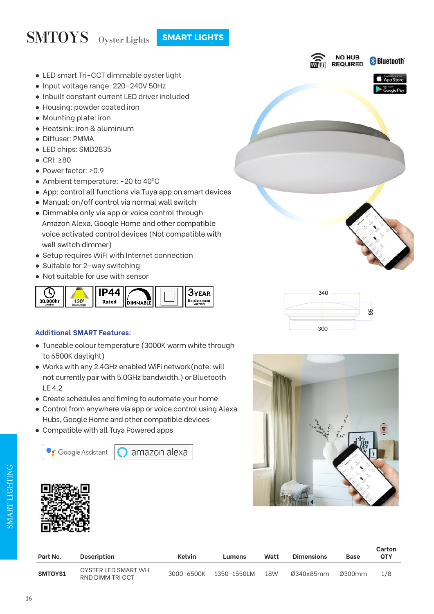## SMTOYS Oyster Lights **SMART LIGHTS**

- LED smart Tri-CCT dimmable oyster light
- Input voltage range: 220-240V 50Hz
- Inbuilt constant current LED driver included
- Housing: powder coated iron
- Mounting plate: iron
- Heatsink: iron & aluminium
- Diffuser: PMMA
- LED chips: SMD2835
- CRI: ≥80
- Power factor: ≥0.9
- Ambient temperature: -20 to 40°C
- App: control all functions via Tuya app on smart devices
- Manual: on/off control via normal wall switch
- Dimmable only via app or voice control through Amazon Alexa, Google Home and other compatible voice activated control devices (Not compatible with wall switch dimmer)
- Setup requires WiFi with Internet connection
- Suitable for 2-way switching
- Not suitable for use with sensor



### **Additional SMART Features:**

- Tuneable colour temperature (3000K warm white through to 6500K daylight)
- Works with any 2.4GHz enabled WiFi network(note: will not currently pair with 5.0GHz bandwidth.) or Bluetooth LE 4.2
- Create schedules and timing to automate your home
- Control from anywhere via app or voice control using Alexa Hubs, Google Home and other compatible devices
- Compatible with all Tuya Powered apps







| Part No. | <b>Description</b>                     | Kelvin     | Lumens      | Watt | <b>Dimensions</b> | <b>Base</b> | Carton<br><b>OTY</b> |
|----------|----------------------------------------|------------|-------------|------|-------------------|-------------|----------------------|
| SMTOYS1  | OYSTER LED SMART WH<br>RND DIMM TRICCT | 3000-6500K | 1350-1550LM | 18W  | Ø340x85mm         | Ø300mm      | 1/8                  |



NO HUB

**REQUIRED** 

**& Bluetooth** 

App Store

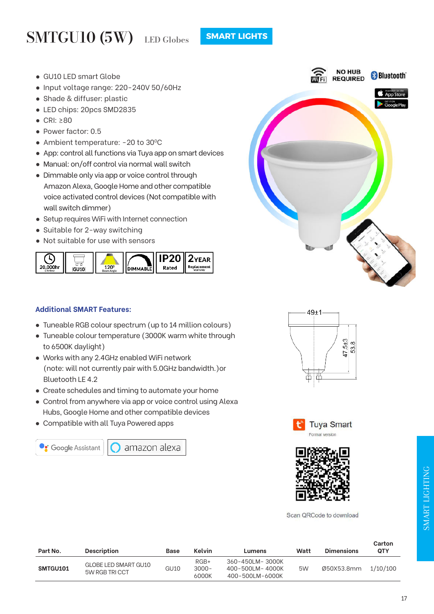## SMTGU10 (5W) LED Globes

- GU10 LED smart Globe
- Input voltage range: 220-240V 50/60Hz
- Shade & diffuser: plastic
- LED chips: 20pcs SMD2835
- CRI: ≥80
- Power factor: 0.5
- Ambient temperature: -20 to 30°C
- App: control all functions via Tuya app on smart devices
- Manual: on/off control via normal wall switch
- Dimmable only via app or voice control through Amazon Alexa, Google Home and other compatible voice activated control devices (Not compatible with wall switch dimmer)
- Setup requires WiFi with Internet connection
- Suitable for 2-way switching
- Not suitable for use with sensors



#### **Additional SMART Features:**

- Tuneable RGB colour spectrum (up to 14 million colours)
- Tuneable colour temperature (3000K warm white through to 6500K daylight)
- Works with any 2.4GHz enabled WiFi network (note: will not currently pair with 5.0GHz bandwidth.)or Bluetooth LE 4.2
- Create schedules and timing to automate your home
- Control from anywhere via app or voice control using Alexa Hubs, Google Home and other compatible devices
- Compatible with all Tuya Powered apps



amazon alexa









Scan QRCode to download

| Part No. | <b>Description</b>                    | Base | Kelvin                      | Lumens                                                | Watt | <b>Dimensions</b> | <b>VAL 1911</b><br><b>QTY</b> |
|----------|---------------------------------------|------|-----------------------------|-------------------------------------------------------|------|-------------------|-------------------------------|
| SMTGU101 | GLOBE LED SMART GU10<br>5W RGB TRICCT | GU10 | $RGB+$<br>$3000 -$<br>6000K | 360-450LM-3000K<br>400-500LM-4000K<br>400-500LM-6000K | 5W   | Ø50X53.8mm        | 1/10/100                      |

**Carton**